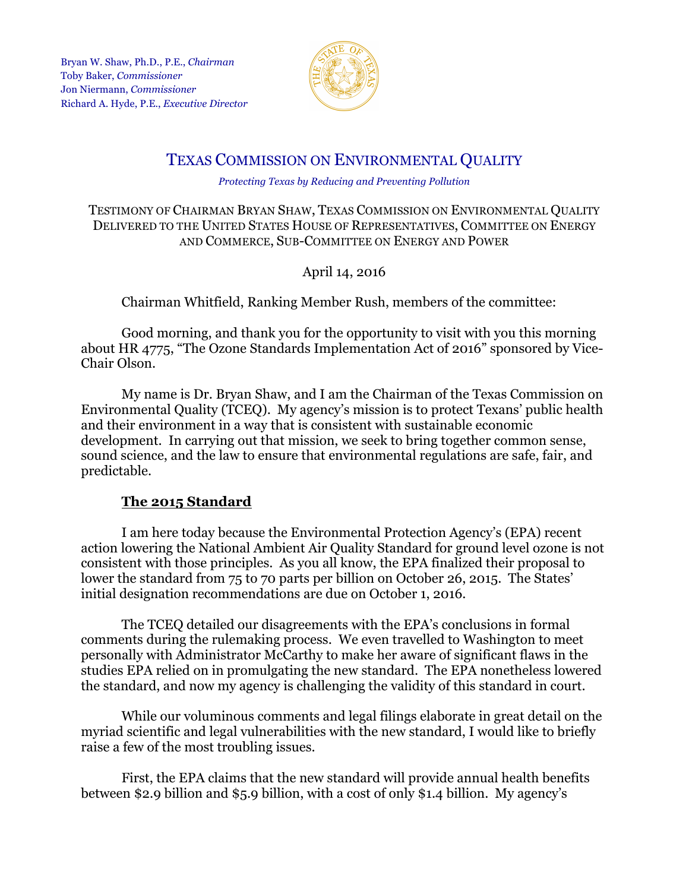

# TEXAS COMMISSION ON ENVIRONMENTAL QUALITY

#### *Protecting Texas by Reducing and Preventing Pollution*

#### TESTIMONY OF CHAIRMAN BRYAN SHAW, TEXAS COMMISSION ON ENVIRONMENTAL QUALITY DELIVERED TO THE UNITED STATES HOUSE OF REPRESENTATIVES, COMMITTEE ON ENERGY AND COMMERCE, SUB-COMMITTEE ON ENERGY AND POWER

April 14, 2016

Chairman Whitfield, Ranking Member Rush, members of the committee:

Good morning, and thank you for the opportunity to visit with you this morning about HR 4775, "The Ozone Standards Implementation Act of 2016" sponsored by Vice-Chair Olson.

My name is Dr. Bryan Shaw, and I am the Chairman of the Texas Commission on Environmental Quality (TCEQ). My agency's mission is to protect Texans' public health and their environment in a way that is consistent with sustainable economic development. In carrying out that mission, we seek to bring together common sense, sound science, and the law to ensure that environmental regulations are safe, fair, and predictable.

## **The 2015 Standard**

I am here today because the Environmental Protection Agency's (EPA) recent action lowering the National Ambient Air Quality Standard for ground level ozone is not consistent with those principles. As you all know, the EPA finalized their proposal to lower the standard from 75 to 70 parts per billion on October 26, 2015. The States' initial designation recommendations are due on October 1, 2016.

The TCEQ detailed our disagreements with the EPA's conclusions in formal comments during the rulemaking process. We even travelled to Washington to meet personally with Administrator McCarthy to make her aware of significant flaws in the studies EPA relied on in promulgating the new standard. The EPA nonetheless lowered the standard, and now my agency is challenging the validity of this standard in court.

While our voluminous comments and legal filings elaborate in great detail on the myriad scientific and legal vulnerabilities with the new standard, I would like to briefly raise a few of the most troubling issues.

First, the EPA claims that the new standard will provide annual health benefits between \$2.9 billion and \$5.9 billion, with a cost of only \$1.4 billion. My agency's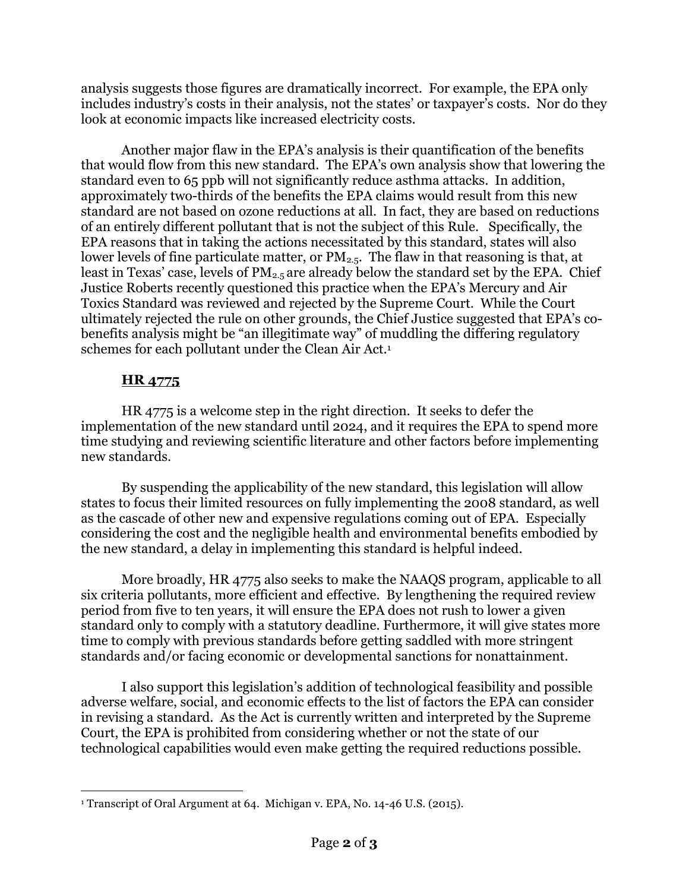analysis suggests those figures are dramatically incorrect. For example, the EPA only includes industry's costs in their analysis, not the states' or taxpayer's costs. Nor do they look at economic impacts like increased electricity costs.

Another major flaw in the EPA's analysis is their quantification of the benefits that would flow from this new standard. The EPA's own analysis show that lowering the standard even to 65 ppb will not significantly reduce asthma attacks. In addition, approximately two-thirds of the benefits the EPA claims would result from this new standard are not based on ozone reductions at all. In fact, they are based on reductions of an entirely different pollutant that is not the subject of this Rule. Specifically, the EPA reasons that in taking the actions necessitated by this standard, states will also lower levels of fine particulate matter, or  $PM_{2.5}$ . The flaw in that reasoning is that, at least in Texas' case, levels of  $PM<sub>2.5</sub>$  are already below the standard set by the EPA. Chief Justice Roberts recently questioned this practice when the EPA's Mercury and Air Toxics Standard was reviewed and rejected by the Supreme Court. While the Court ultimately rejected the rule on other grounds, the Chief Justice suggested that EPA's cobenefits analysis might be "an illegitimate way" of muddling the differing regulatory schemes for each pollutant under the Clean Air Act.1

## **HR 4775**

HR 4775 is a welcome step in the right direction. It seeks to defer the implementation of the new standard until 2024, and it requires the EPA to spend more time studying and reviewing scientific literature and other factors before implementing new standards.

By suspending the applicability of the new standard, this legislation will allow states to focus their limited resources on fully implementing the 2008 standard, as well as the cascade of other new and expensive regulations coming out of EPA. Especially considering the cost and the negligible health and environmental benefits embodied by the new standard, a delay in implementing this standard is helpful indeed.

More broadly, HR 4775 also seeks to make the NAAQS program, applicable to all six criteria pollutants, more efficient and effective. By lengthening the required review period from five to ten years, it will ensure the EPA does not rush to lower a given standard only to comply with a statutory deadline. Furthermore, it will give states more time to comply with previous standards before getting saddled with more stringent standards and/or facing economic or developmental sanctions for nonattainment.

I also support this legislation's addition of technological feasibility and possible adverse welfare, social, and economic effects to the list of factors the EPA can consider in revising a standard. As the Act is currently written and interpreted by the Supreme Court, the EPA is prohibited from considering whether or not the state of our technological capabilities would even make getting the required reductions possible.

 $\overline{a}$ <sup>1</sup> Transcript of Oral Argument at 64. Michigan v. EPA, No. 14-46 U.S. (2015).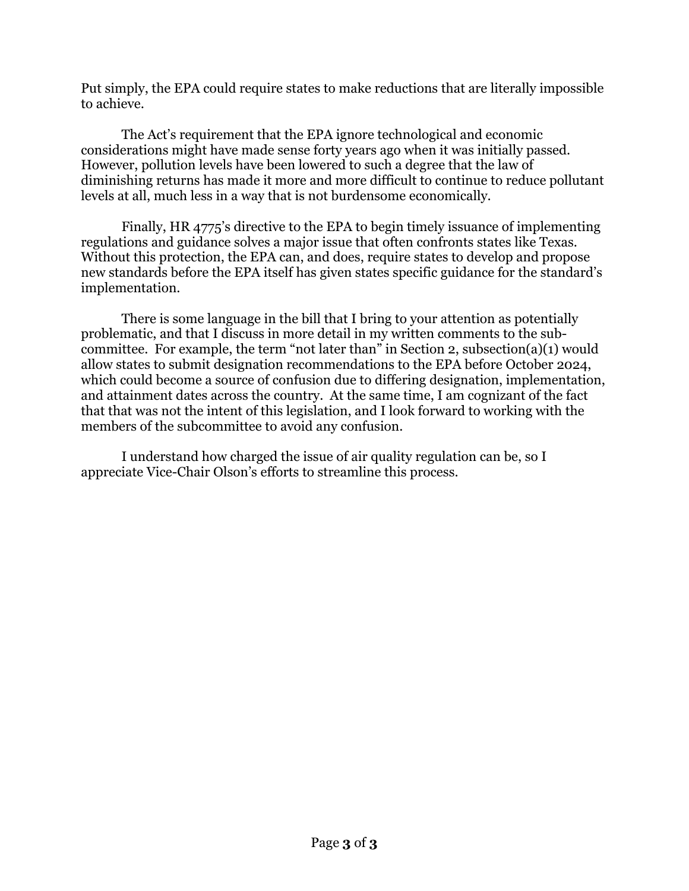Put simply, the EPA could require states to make reductions that are literally impossible to achieve.

The Act's requirement that the EPA ignore technological and economic considerations might have made sense forty years ago when it was initially passed. However, pollution levels have been lowered to such a degree that the law of diminishing returns has made it more and more difficult to continue to reduce pollutant levels at all, much less in a way that is not burdensome economically.

Finally, HR 4775's directive to the EPA to begin timely issuance of implementing regulations and guidance solves a major issue that often confronts states like Texas. Without this protection, the EPA can, and does, require states to develop and propose new standards before the EPA itself has given states specific guidance for the standard's implementation.

There is some language in the bill that I bring to your attention as potentially problematic, and that I discuss in more detail in my written comments to the subcommittee. For example, the term "not later than" in Section 2, subsection(a)(1) would allow states to submit designation recommendations to the EPA before October 2024, which could become a source of confusion due to differing designation, implementation, and attainment dates across the country. At the same time, I am cognizant of the fact that that was not the intent of this legislation, and I look forward to working with the members of the subcommittee to avoid any confusion.

I understand how charged the issue of air quality regulation can be, so I appreciate Vice-Chair Olson's efforts to streamline this process.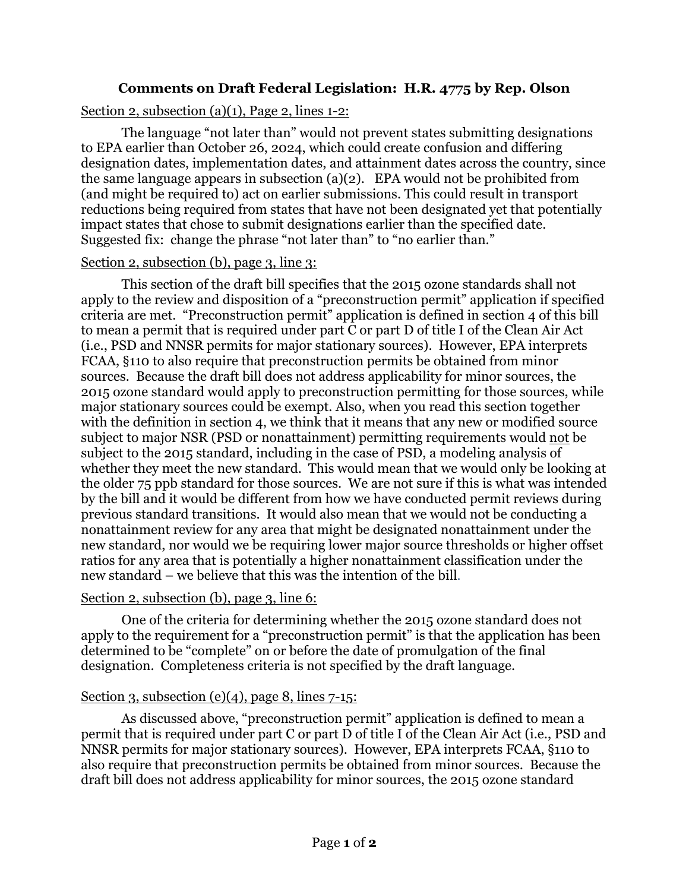## **Comments on Draft Federal Legislation: H.R. 4775 by Rep. Olson**

#### Section 2, subsection (a)(1), Page 2, lines 1-2:

The language "not later than" would not prevent states submitting designations to EPA earlier than October 26, 2024, which could create confusion and differing designation dates, implementation dates, and attainment dates across the country, since the same language appears in subsection (a)(2). EPA would not be prohibited from (and might be required to) act on earlier submissions. This could result in transport reductions being required from states that have not been designated yet that potentially impact states that chose to submit designations earlier than the specified date. Suggested fix: change the phrase "not later than" to "no earlier than."

#### Section 2, subsection (b), page 3, line 3:

This section of the draft bill specifies that the 2015 ozone standards shall not apply to the review and disposition of a "preconstruction permit" application if specified criteria are met. "Preconstruction permit" application is defined in section 4 of this bill to mean a permit that is required under part C or part D of title I of the Clean Air Act (i.e., PSD and NNSR permits for major stationary sources). However, EPA interprets FCAA, §110 to also require that preconstruction permits be obtained from minor sources. Because the draft bill does not address applicability for minor sources, the 2015 ozone standard would apply to preconstruction permitting for those sources, while major stationary sources could be exempt. Also, when you read this section together with the definition in section 4, we think that it means that any new or modified source subject to major NSR (PSD or nonattainment) permitting requirements would not be subject to the 2015 standard, including in the case of PSD, a modeling analysis of whether they meet the new standard. This would mean that we would only be looking at the older 75 ppb standard for those sources. We are not sure if this is what was intended by the bill and it would be different from how we have conducted permit reviews during previous standard transitions. It would also mean that we would not be conducting a nonattainment review for any area that might be designated nonattainment under the new standard, nor would we be requiring lower major source thresholds or higher offset ratios for any area that is potentially a higher nonattainment classification under the new standard – we believe that this was the intention of the bill.

## Section 2, subsection (b), page 3, line 6:

One of the criteria for determining whether the 2015 ozone standard does not apply to the requirement for a "preconstruction permit" is that the application has been determined to be "complete" on or before the date of promulgation of the final designation. Completeness criteria is not specified by the draft language.

## Section 3, subsection  $(e)(4)$ , page 8, lines  $7-15$ :

As discussed above, "preconstruction permit" application is defined to mean a permit that is required under part C or part D of title I of the Clean Air Act (i.e., PSD and NNSR permits for major stationary sources). However, EPA interprets FCAA, §110 to also require that preconstruction permits be obtained from minor sources. Because the draft bill does not address applicability for minor sources, the 2015 ozone standard